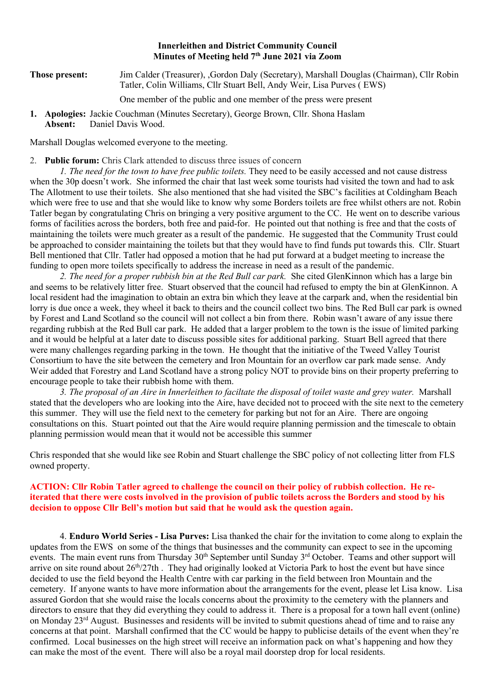#### Innerleithen and District Community Council Minutes of Meeting held 7<sup>th</sup> June 2021 via Zoom

#### Those present: Jim Calder (Treasurer), ,Gordon Daly (Secretary), Marshall Douglas (Chairman), Cllr Robin Tatler, Colin Williams, Cllr Stuart Bell, Andy Weir, Lisa Purves ( EWS)

One member of the public and one member of the press were present

1. Apologies: Jackie Couchman (Minutes Secretary), George Brown, Cllr. Shona Haslam Absent: Daniel Davis Wood.

Marshall Douglas welcomed everyone to the meeting.

#### 2. Public forum: Chris Clark attended to discuss three issues of concern

1. The need for the town to have free public toilets. They need to be easily accessed and not cause distress when the 30p doesn't work. She informed the chair that last week some tourists had visited the town and had to ask The Allotment to use their toilets. She also mentioned that she had visited the SBC's facilities at Coldingham Beach which were free to use and that she would like to know why some Borders toilets are free whilst others are not. Robin Tatler began by congratulating Chris on bringing a very positive argument to the CC. He went on to describe various forms of facilities across the borders, both free and paid-for. He pointed out that nothing is free and that the costs of maintaining the toilets were much greater as a result of the pandemic. He suggested that the Community Trust could be approached to consider maintaining the toilets but that they would have to find funds put towards this. Cllr. Stuart Bell mentioned that Cllr. Tatler had opposed a motion that he had put forward at a budget meeting to increase the funding to open more toilets specifically to address the increase in need as a result of the pandemic.

2. The need for a proper rubbish bin at the Red Bull car park. She cited GlenKinnon which has a large bin and seems to be relatively litter free. Stuart observed that the council had refused to empty the bin at GlenKinnon. A local resident had the imagination to obtain an extra bin which they leave at the carpark and, when the residential bin lorry is due once a week, they wheel it back to theirs and the council collect two bins. The Red Bull car park is owned by Forest and Land Scotland so the council will not collect a bin from there. Robin wasn't aware of any issue there regarding rubbish at the Red Bull car park. He added that a larger problem to the town is the issue of limited parking and it would be helpful at a later date to discuss possible sites for additional parking. Stuart Bell agreed that there were many challenges regarding parking in the town. He thought that the initiative of the Tweed Valley Tourist Consortium to have the site between the cemetery and Iron Mountain for an overflow car park made sense. Andy Weir added that Forestry and Land Scotland have a strong policy NOT to provide bins on their property preferring to encourage people to take their rubbish home with them.

3. The proposal of an Aire in Innerleithen to faciltate the disposal of toilet waste and grey water. Marshall stated that the developers who are looking into the Aire, have decided not to proceed with the site next to the cemetery this summer. They will use the field next to the cemetery for parking but not for an Aire. There are ongoing consultations on this. Stuart pointed out that the Aire would require planning permission and the timescale to obtain planning permission would mean that it would not be accessible this summer

Chris responded that she would like see Robin and Stuart challenge the SBC policy of not collecting litter from FLS owned property.

#### ACTION: Cllr Robin Tatler agreed to challenge the council on their policy of rubbish collection. He reiterated that there were costs involved in the provision of public toilets across the Borders and stood by his decision to oppose Cllr Bell's motion but said that he would ask the question again.

4. Enduro World Series - Lisa Purves: Lisa thanked the chair for the invitation to come along to explain the updates from the EWS on some of the things that businesses and the community can expect to see in the upcoming events. The main event runs from Thursday 30<sup>th</sup> September until Sunday 3<sup>rd</sup> October. Teams and other support will arrive on site round about  $26<sup>th</sup>/27th$ . They had originally looked at Victoria Park to host the event but have since decided to use the field beyond the Health Centre with car parking in the field between Iron Mountain and the cemetery. If anyone wants to have more information about the arrangements for the event, please let Lisa know. Lisa assured Gordon that she would raise the locals concerns about the proximity to the cemetery with the planners and directors to ensure that they did everything they could to address it. There is a proposal for a town hall event (online) on Monday  $23^{rd}$  August. Businesses and residents will be invited to submit questions ahead of time and to raise any concerns at that point. Marshall confirmed that the CC would be happy to publicise details of the event when they're confirmed. Local businesses on the high street will receive an information pack on what's happening and how they can make the most of the event. There will also be a royal mail doorstep drop for local residents.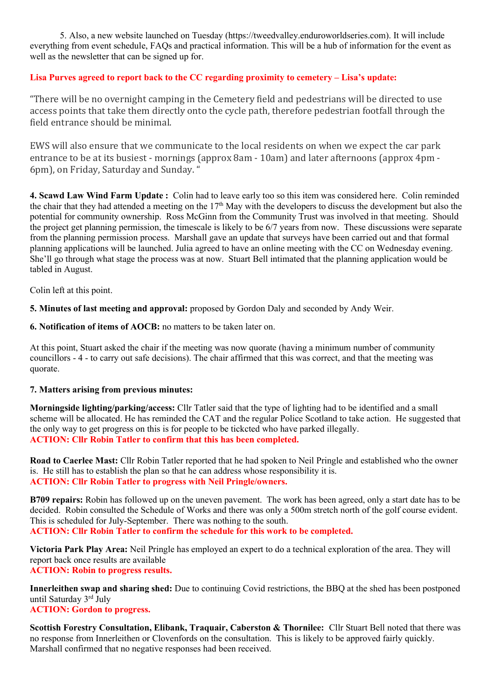5. Also, a new website launched on Tuesday (https://tweedvalley.enduroworldseries.com). It will include everything from event schedule, FAQs and practical information. This will be a hub of information for the event as well as the newsletter that can be signed up for.

# Lisa Purves agreed to report back to the CC regarding proximity to cemetery – Lisa's update:

"There will be no overnight camping in the Cemetery field and pedestrians will be directed to use access points that take them directly onto the cycle path, therefore pedestrian footfall through the field entrance should be minimal.

EWS will also ensure that we communicate to the local residents on when we expect the car park entrance to be at its busiest - mornings (approx 8am - 10am) and later afternoons (approx 4pm - 6pm), on Friday, Saturday and Sunday. "

4. Scawd Law Wind Farm Update : Colin had to leave early too so this item was considered here. Colin reminded the chair that they had attended a meeting on the  $17<sup>th</sup>$  May with the developers to discuss the development but also the potential for community ownership. Ross McGinn from the Community Trust was involved in that meeting. Should the project get planning permission, the timescale is likely to be 6/7 years from now. These discussions were separate from the planning permission process. Marshall gave an update that surveys have been carried out and that formal planning applications will be launched. Julia agreed to have an online meeting with the CC on Wednesday evening. She'll go through what stage the process was at now. Stuart Bell intimated that the planning application would be tabled in August.

Colin left at this point.

5. Minutes of last meeting and approval: proposed by Gordon Daly and seconded by Andy Weir.

6. Notification of items of AOCB: no matters to be taken later on.

At this point, Stuart asked the chair if the meeting was now quorate (having a minimum number of community councillors - 4 - to carry out safe decisions). The chair affirmed that this was correct, and that the meeting was quorate.

#### 7. Matters arising from previous minutes:

Morningside lighting/parking/access: Cllr Tatler said that the type of lighting had to be identified and a small scheme will be allocated. He has reminded the CAT and the regular Police Scotland to take action. He suggested that the only way to get progress on this is for people to be tickcted who have parked illegally. ACTION: Cllr Robin Tatler to confirm that this has been completed.

Road to Caerlee Mast: Cllr Robin Tatler reported that he had spoken to Neil Pringle and established who the owner is. He still has to establish the plan so that he can address whose responsibility it is. ACTION: Cllr Robin Tatler to progress with Neil Pringle/owners.

B709 repairs: Robin has followed up on the uneven pavement. The work has been agreed, only a start date has to be decided. Robin consulted the Schedule of Works and there was only a 500m stretch north of the golf course evident. This is scheduled for July-September. There was nothing to the south. ACTION: Cllr Robin Tatler to confirm the schedule for this work to be completed.

Victoria Park Play Area: Neil Pringle has employed an expert to do a technical exploration of the area. They will report back once results are available ACTION: Robin to progress results.

Innerleithen swap and sharing shed: Due to continuing Covid restrictions, the BBQ at the shed has been postponed until Saturday 3rd July

ACTION: Gordon to progress.

Scottish Forestry Consultation, Elibank, Traquair, Caberston & Thornilee: Cllr Stuart Bell noted that there was no response from Innerleithen or Clovenfords on the consultation. This is likely to be approved fairly quickly. Marshall confirmed that no negative responses had been received.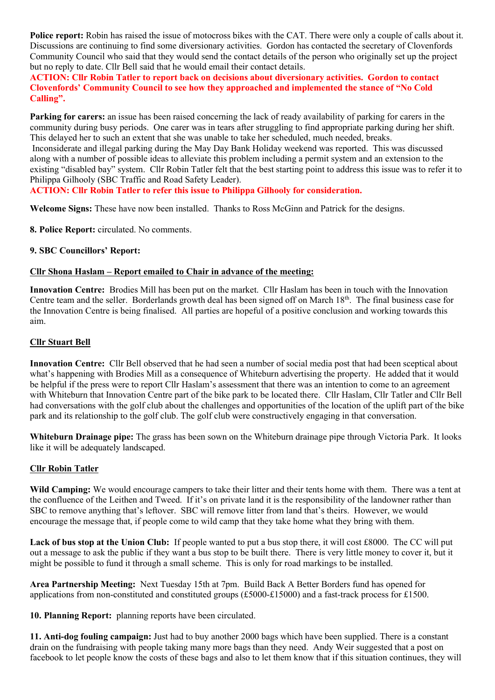Police report: Robin has raised the issue of motocross bikes with the CAT. There were only a couple of calls about it. Discussions are continuing to find some diversionary activities. Gordon has contacted the secretary of Clovenfords Community Council who said that they would send the contact details of the person who originally set up the project but no reply to date. Cllr Bell said that he would email their contact details.

ACTION: Cllr Robin Tatler to report back on decisions about diversionary activities. Gordon to contact Clovenfords' Community Council to see how they approached and implemented the stance of "No Cold Calling".

Parking for carers: an issue has been raised concerning the lack of ready availability of parking for carers in the community during busy periods. One carer was in tears after struggling to find appropriate parking during her shift. This delayed her to such an extent that she was unable to take her scheduled, much needed, breaks. Inconsiderate and illegal parking during the May Day Bank Holiday weekend was reported. This was discussed along with a number of possible ideas to alleviate this problem including a permit system and an extension to the existing "disabled bay" system. Cllr Robin Tatler felt that the best starting point to address this issue was to refer it to Philippa Gilhooly (SBC Traffic and Road Safety Leader).

# ACTION: Cllr Robin Tatler to refer this issue to Philippa Gilhooly for consideration.

Welcome Signs: These have now been installed. Thanks to Ross McGinn and Patrick for the designs.

8. Police Report: circulated. No comments.

# 9. SBC Councillors' Report:

# Cllr Shona Haslam – Report emailed to Chair in advance of the meeting:

Innovation Centre: Brodies Mill has been put on the market. Cllr Haslam has been in touch with the Innovation Centre team and the seller. Borderlands growth deal has been signed off on March 18<sup>th</sup>. The final business case for the Innovation Centre is being finalised. All parties are hopeful of a positive conclusion and working towards this aim.

# Cllr Stuart Bell

Innovation Centre: Cllr Bell observed that he had seen a number of social media post that had been sceptical about what's happening with Brodies Mill as a consequence of Whiteburn advertising the property. He added that it would be helpful if the press were to report Cllr Haslam's assessment that there was an intention to come to an agreement with Whiteburn that Innovation Centre part of the bike park to be located there. Cllr Haslam, Cllr Tatler and Cllr Bell had conversations with the golf club about the challenges and opportunities of the location of the uplift part of the bike park and its relationship to the golf club. The golf club were constructively engaging in that conversation.

Whiteburn Drainage pipe: The grass has been sown on the Whiteburn drainage pipe through Victoria Park. It looks like it will be adequately landscaped.

# Cllr Robin Tatler

Wild Camping: We would encourage campers to take their litter and their tents home with them. There was a tent at the confluence of the Leithen and Tweed. If it's on private land it is the responsibility of the landowner rather than SBC to remove anything that's leftover. SBC will remove litter from land that's theirs. However, we would encourage the message that, if people come to wild camp that they take home what they bring with them.

Lack of bus stop at the Union Club: If people wanted to put a bus stop there, it will cost £8000. The CC will put out a message to ask the public if they want a bus stop to be built there. There is very little money to cover it, but it might be possible to fund it through a small scheme. This is only for road markings to be installed.

Area Partnership Meeting: Next Tuesday 15th at 7pm. Build Back A Better Borders fund has opened for applications from non-constituted and constituted groups (£5000-£15000) and a fast-track process for £1500.

10. Planning Report: planning reports have been circulated.

11. Anti-dog fouling campaign: Just had to buy another 2000 bags which have been supplied. There is a constant drain on the fundraising with people taking many more bags than they need. Andy Weir suggested that a post on facebook to let people know the costs of these bags and also to let them know that if this situation continues, they will